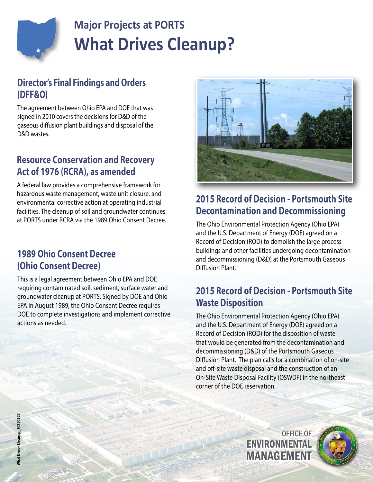

# **Major Projects at PORTS What Drives Cleanup?**

#### **Director's Final Findings and Orders (DFF&O)**

The agreement between Ohio EPA and DOE that was signed in 2010 covers the decisions for D&D of the gaseous diffusion plant buildings and disposal of the D&D wastes.

#### **Resource Conservation and Recovery Act of 1976 (RCRA), as amended**

A federal law provides a comprehensive framework for hazardous waste management, waste unit closure, and environmental corrective action at operating industrial facilities. The cleanup of soil and groundwater continues at PORTS under RCRA via the 1989 Ohio Consent Decree.

#### **1989 Ohio Consent Decree (Ohio Consent Decree)**

This is a legal agreement between Ohio EPA and DOE requiring contaminated soil, sediment, surface water and groundwater cleanup at PORTS. Signed by DOE and Ohio EPA in August 1989, the Ohio Consent Decree requires DOE to complete investigations and implement corrective actions as needed.



### **2015 Record of Decision - Portsmouth Site Decontamination and Decommissioning**

The Ohio Environmental Protection Agency (Ohio EPA) and the U.S. Department of Energy (DOE) agreed on a Record of Decision (ROD) to demolish the large process buildings and other facilities undergoing decontamination and decommissioning (D&D) at the Portsmouth Gaseous Diffusion Plant.

#### **2015 Record of Decision - Portsmouth Site Waste Disposition**

The Ohio Environmental Protection Agency (Ohio EPA) and the U.S. Department of Energy (DOE) agreed on a Record of Decision (ROD) for the disposition of waste that would be generated from the decontamination and decommissioning (D&D) of the Portsmouth Gaseous Diffusion Plant. The plan calls for a combination of on-site and off-site waste disposal and the construction of an On-Site Waste Disposal Facility (OSWDF) in the northeast corner of the DOE reservation.